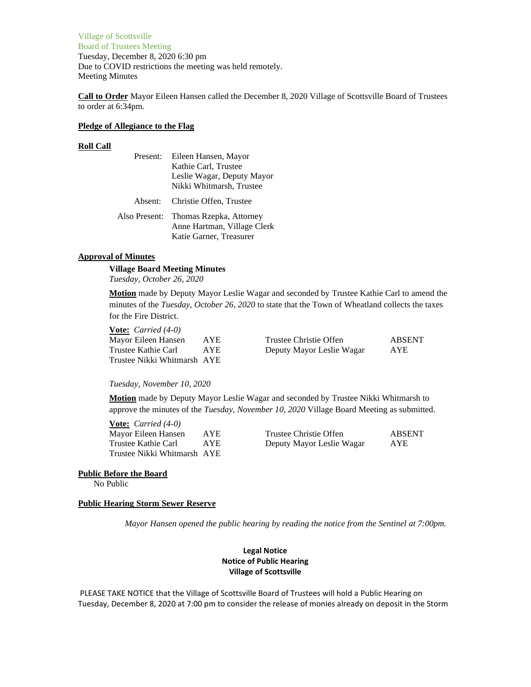Village of Scottsville Board of Trustees Meeting Tuesday, December 8, 2020 6:30 pm Due to COVID restrictions the meeting was held remotely. Meeting Minutes

**Call to Order** Mayor Eileen Hansen called the December 8, 2020 Village of Scottsville Board of Trustees to order at 6:34pm.

## **Pledge of Allegiance to the Flag**

## **Roll Call**

| Present:      | Eileen Hansen, Mayor        |  |  |
|---------------|-----------------------------|--|--|
|               | Kathie Carl, Trustee        |  |  |
|               | Leslie Wagar, Deputy Mayor  |  |  |
|               | Nikki Whitmarsh, Trustee    |  |  |
| Absent:       | Christie Offen, Trustee     |  |  |
| Also Present: | Thomas Rzepka, Attorney     |  |  |
|               | Anne Hartman, Village Clerk |  |  |
|               | Katie Garner, Treasurer     |  |  |

# **Approval of Minutes**

**Village Board Meeting Minutes** *Tuesday, October 26, 2020*

**Motion** made by Deputy Mayor Leslie Wagar and seconded by Trustee Kathie Carl to amend the minutes of the *Tuesday, October 26, 2020* to state that the Town of Wheatland collects the taxes for the Fire District.

**Vote:** *Carried (4-0)* Trustee Nikki Whitmarsh AYE

Mayor Eileen Hansen AYE Trustee Christie Offen ABSENT Trustee Kathie Carl AYE Deputy Mayor Leslie Wagar AYE

# *Tuesday, November 10, 2020*

**Motion** made by Deputy Mayor Leslie Wagar and seconded by Trustee Nikki Whitmarsh to approve the minutes of the *Tuesday, November 10, 2020* Village Board Meeting as submitted.

| <b>Vote:</b> <i>Carried</i> $(4-0)$ |      |                           |               |
|-------------------------------------|------|---------------------------|---------------|
| Mayor Eileen Hansen                 | AYE. | Trustee Christie Offen    | <b>ABSENT</b> |
| Trustee Kathie Carl                 | AYE. | Deputy Mayor Leslie Wagar | <b>AYE</b>    |
| Trustee Nikki Whitmarsh AYE         |      |                           |               |

# **Public Before the Board**

No Public

## **Public Hearing Storm Sewer Reserve**

*Mayor Hansen opened the public hearing by reading the notice from the Sentinel at 7:00pm.*

# **Legal Notice Notice of Public Hearing Village of Scottsville**

PLEASE TAKE NOTICE that the Village of Scottsville Board of Trustees will hold a Public Hearing on Tuesday, December 8, 2020 at 7:00 pm to consider the release of monies already on deposit in the Storm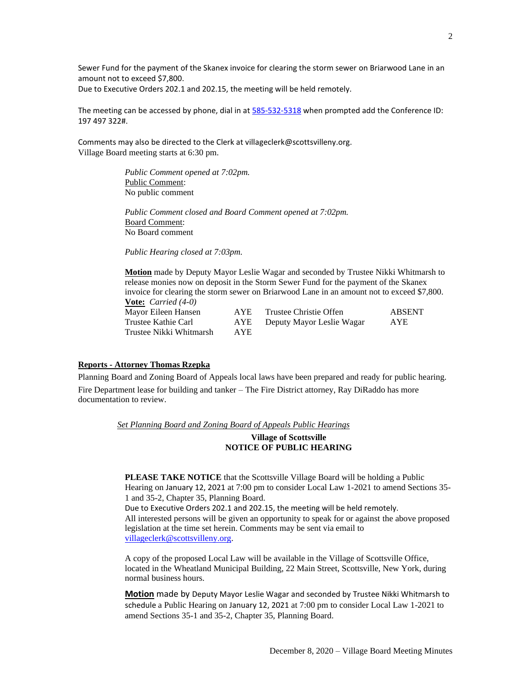Sewer Fund for the payment of the Skanex invoice for clearing the storm sewer on Briarwood Lane in an amount not to exceed \$7,800.

Due to Executive Orders 202.1 and 202.15, the meeting will be held remotely.

The meeting can be accessed by phone, dial in a[t 585-532-5318](tel:+1%20585-532-5318,,201441081# ) when prompted add the Conference ID: 197 497 322#.

Comments may also be directed to the Clerk at villageclerk@scottsvilleny.org. Village Board meeting starts at 6:30 pm.

> *Public Comment opened at 7:02pm.* Public Comment: No public comment

*Public Comment closed and Board Comment opened at 7:02pm.* Board Comment: No Board comment

*Public Hearing closed at 7:03pm.*

**Motion** made by Deputy Mayor Leslie Wagar and seconded by Trustee Nikki Whitmarsh to release monies now on deposit in the Storm Sewer Fund for the payment of the Skanex invoice for clearing the storm sewer on Briarwood Lane in an amount not to exceed \$7,800. **Vote:** *Carried (4-0)*

Trustee Nikki Whitmarsh AYE

Mayor Eileen Hansen AYE Trustee Christie Offen ABSENT<br>
Trustee Kathie Carl AYE Deputy Mayor Leslie Wagar AYE Trustee Kathie Carl AYE Deputy Mayor Leslie Wagar AYE

# **Reports - Attorney Thomas Rzepka**

Planning Board and Zoning Board of Appeals local laws have been prepared and ready for public hearing. Fire Department lease for building and tanker – The Fire District attorney, Ray DiRaddo has more documentation to review.

*Set Planning Board and Zoning Board of Appeals Public Hearings*

# **Village of Scottsville NOTICE OF PUBLIC HEARING**

**PLEASE TAKE NOTICE** that the Scottsville Village Board will be holding a Public Hearing on January 12, 2021 at 7:00 pm to consider Local Law 1-2021 to amend Sections 35- 1 and 35-2, Chapter 35, Planning Board. Due to Executive Orders 202.1 and 202.15, the meeting will be held remotely. All interested persons will be given an opportunity to speak for or against the above proposed

legislation at the time set herein. Comments may be sent via email to [villageclerk@scottsvilleny.org.](mailto:villageclerk@scottsvilleny.org)

A copy of the proposed Local Law will be available in the Village of Scottsville Office, located in the Wheatland Municipal Building, 22 Main Street, Scottsville, New York, during normal business hours.

**Motion** made by Deputy Mayor Leslie Wagar and seconded by Trustee Nikki Whitmarsh to schedule a Public Hearing on January 12, 2021 at 7:00 pm to consider Local Law 1-2021 to amend Sections 35-1 and 35-2, Chapter 35, Planning Board.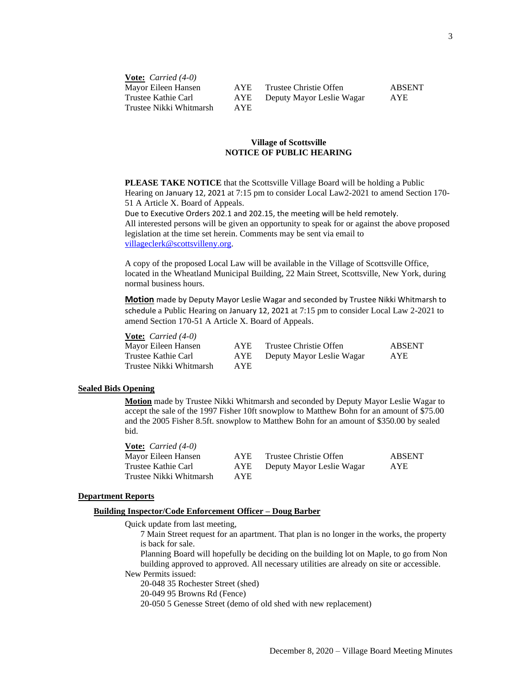**Vote:** *Carried (4-0)* Trustee Nikki Whitmarsh AYE

Mayor Eileen Hansen AYE Trustee Christie Offen ABSENT Trustee Kathie Carl AYE Deputy Mayor Leslie Wagar AYE

# **Village of Scottsville NOTICE OF PUBLIC HEARING**

**PLEASE TAKE NOTICE** that the Scottsville Village Board will be holding a Public Hearing on January 12, 2021 at 7:15 pm to consider Local Law2-2021 to amend Section 170- 51 A Article X. Board of Appeals.

Due to Executive Orders 202.1 and 202.15, the meeting will be held remotely. All interested persons will be given an opportunity to speak for or against the above proposed legislation at the time set herein. Comments may be sent via email to [villageclerk@scottsvilleny.org.](mailto:villageclerk@scottsvilleny.org)

A copy of the proposed Local Law will be available in the Village of Scottsville Office, located in the Wheatland Municipal Building, 22 Main Street, Scottsville, New York, during normal business hours.

**Motion** made by Deputy Mayor Leslie Wagar and seconded by Trustee Nikki Whitmarsh to schedule a Public Hearing on January 12, 2021 at 7:15 pm to consider Local Law 2-2021 to amend Section 170-51 A Article X. Board of Appeals.

**Vote:** *Carried (4-0)*

Mayor Eileen Hansen AYE Trustee Kathie Carl AYE Trustee Nikki Whitmarsh AYE

| Е | Trustee Christie Offen    | <b>ABSENT</b> |
|---|---------------------------|---------------|
| Е | Deputy Mayor Leslie Wagar | <b>AYE</b>    |
|   |                           |               |

#### **Sealed Bids Opening**

**Motion** made by Trustee Nikki Whitmarsh and seconded by Deputy Mayor Leslie Wagar to accept the sale of the 1997 Fisher 10ft snowplow to Matthew Bohn for an amount of \$75.00 and the 2005 Fisher 8.5ft. snowplow to Matthew Bohn for an amount of \$350.00 by sealed bid.

**Vote:** *Carried (4-0)*

Trustee Nikki Whitmarsh AYE

Mayor Eileen Hansen AYE Trustee Christie Offen ABSENT Trustee Kathie Carl AYE Deputy Mayor Leslie Wagar AYE

## **Department Reports**

# **Building Inspector/Code Enforcement Officer – Doug Barber**

Quick update from last meeting,

7 Main Street request for an apartment. That plan is no longer in the works, the property is back for sale.

Planning Board will hopefully be deciding on the building lot on Maple, to go from Non building approved to approved. All necessary utilities are already on site or accessible.

New Permits issued:

20-048 35 Rochester Street (shed)

20-049 95 Browns Rd (Fence)

20-050 5 Genesse Street (demo of old shed with new replacement)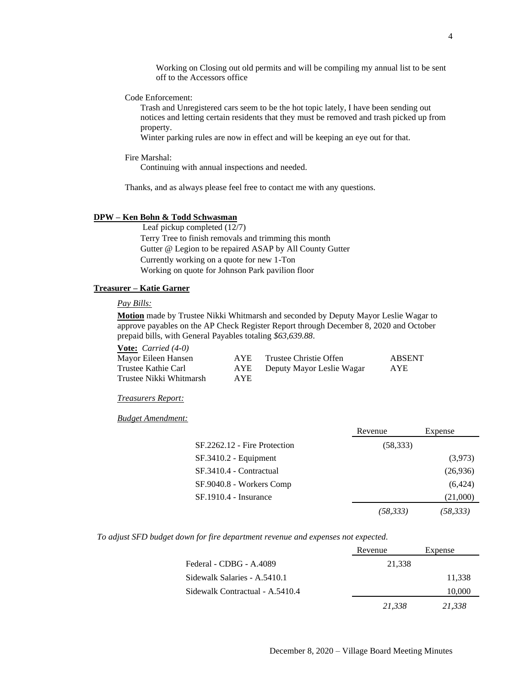Working on Closing out old permits and will be compiling my annual list to be sent off to the Accessors office

# Code Enforcement:

Trash and Unregistered cars seem to be the hot topic lately, I have been sending out notices and letting certain residents that they must be removed and trash picked up from property.

Winter parking rules are now in effect and will be keeping an eye out for that.

Fire Marshal:

Continuing with annual inspections and needed.

Thanks, and as always please feel free to contact me with any questions.

# **DPW – Ken Bohn & Todd Schwasman**

Leaf pickup completed (12/7) Terry Tree to finish removals and trimming this month Gutter @ Legion to be repaired ASAP by All County Gutter Currently working on a quote for new 1-Ton Working on quote for Johnson Park pavilion floor

# **Treasurer – Katie Garner**

## *Pay Bills:*

**Motion** made by Trustee Nikki Whitmarsh and seconded by Deputy Mayor Leslie Wagar to approve payables on the AP Check Register Report through December 8, 2020 and October prepaid bills, with General Payables totaling *\$63,639.88*.

**Vote:** *Carried (4-0)*

| Mayor Eileen Hansen     | AYE. | Trustee Christie Offen    | <b>ABSENT</b> |
|-------------------------|------|---------------------------|---------------|
| Trustee Kathie Carl     | AYE  | Deputy Mayor Leslie Wagar | <b>AYE</b>    |
| Trustee Nikki Whitmarsh | AYE. |                           |               |

# *Treasurers Report:*

*Budget Amendment:*

|                              | Revenue   | Expense  |
|------------------------------|-----------|----------|
| SF.2262.12 - Fire Protection | (58, 333) |          |
| $SF.3410.2 - Equipment$      |           | (3,973)  |
| SF.3410.4 - Contractual      |           | (26,936) |
| SF.9040.8 - Workers Comp     |           | (6, 424) |
| SF.1910.4 - Insurance        |           | (21,000) |
|                              | (58,333)  | (58,333) |

*To adjust SFD budget down for fire department revenue and expenses not expected.*

|                                 | Revenue | Expense |
|---------------------------------|---------|---------|
| Federal - CDBG - A.4089         | 21,338  |         |
| Sidewalk Salaries - A.5410.1    |         | 11,338  |
| Sidewalk Contractual - A.5410.4 |         | 10,000  |
|                                 | 21,338  | 21,338  |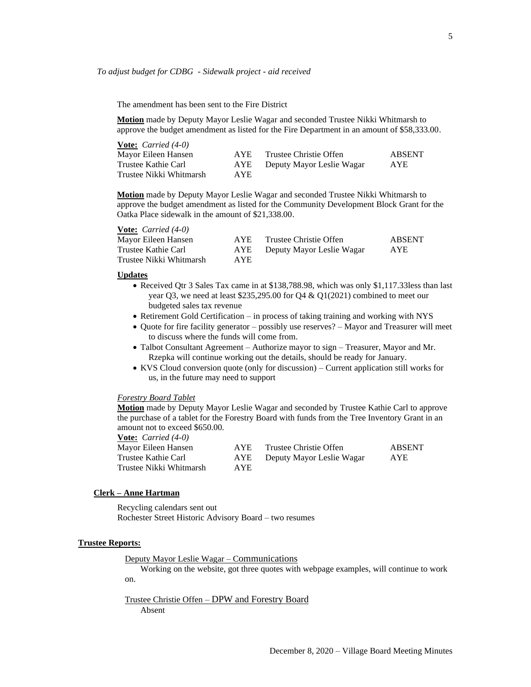The amendment has been sent to the Fire District

**Motion** made by Deputy Mayor Leslie Wagar and seconded Trustee Nikki Whitmarsh to approve the budget amendment as listed for the Fire Department in an amount of \$58,333.00.

| <b>Vote:</b> <i>Carried</i> $(4-0)$ |      |                           |               |
|-------------------------------------|------|---------------------------|---------------|
| Mayor Eileen Hansen                 | AYE. | Trustee Christie Offen    | <b>ABSENT</b> |
| Trustee Kathie Carl                 | AYE  | Deputy Mayor Leslie Wagar | AYE.          |
| Trustee Nikki Whitmarsh             | AYE. |                           |               |

**Motion** made by Deputy Mayor Leslie Wagar and seconded Trustee Nikki Whitmarsh to approve the budget amendment as listed for the Community Development Block Grant for the Oatka Place sidewalk in the amount of \$21,338.00.

| $\overline{V}$ varried (+-0) |      |                           |               |
|------------------------------|------|---------------------------|---------------|
| Mayor Eileen Hansen          | AYE  | Trustee Christie Offen    | <b>ABSENT</b> |
| Trustee Kathie Carl          | AYE  | Deputy Mayor Leslie Wagar | <b>AYE</b>    |
| Trustee Nikki Whitmarsh      | AYE. |                           |               |

#### **Updates**

**Vote:** *Carried (4-0)*

- Received Qtr 3 Sales Tax came in at \$138,788.98, which was only \$1,117.33less than last year Q3, we need at least \$235,295.00 for Q4 & Q1(2021) combined to meet our budgeted sales tax revenue
- Retirement Gold Certification in process of taking training and working with NYS
- Quote for fire facility generator possibly use reserves? Mayor and Treasurer will meet to discuss where the funds will come from.
- Talbot Consultant Agreement Authorize mayor to sign Treasurer, Mayor and Mr. Rzepka will continue working out the details, should be ready for January.
- KVS Cloud conversion quote (only for discussion) Current application still works for us, in the future may need to support

#### *Forestry Board Tablet*

**Motion** made by Deputy Mayor Leslie Wagar and seconded by Trustee Kathie Carl to approve the purchase of a tablet for the Forestry Board with funds from the Tree Inventory Grant in an amount not to exceed \$650.00.

**Vote:** *Carried (4-0)* Mayor Eileen Hansen AYE Trustee Christie Offen ABSENT Trustee Kathie Carl AYE Deputy Mayor Leslie Wagar AYE Trustee Nikki Whitmarsh AYE

#### **Clerk – Anne Hartman**

Recycling calendars sent out Rochester Street Historic Advisory Board – two resumes

### **Trustee Reports:**

Deputy Mayor Leslie Wagar – Communications

Working on the website, got three quotes with webpage examples, will continue to work on.

Trustee Christie Offen – DPW and Forestry Board Absent